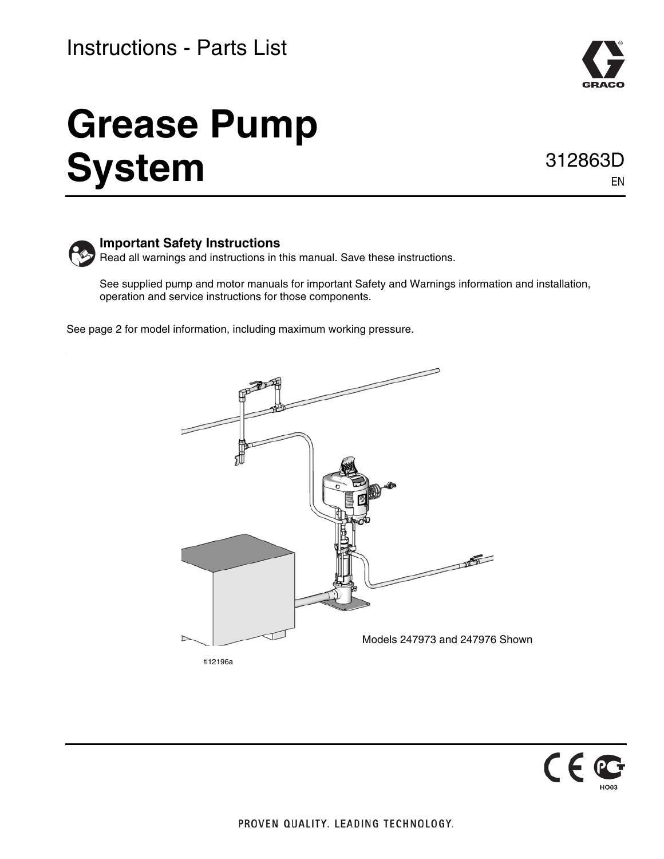# Instructions - Parts List



# **Grease Pump System**

312863D EN



### **Important Safety Instructions**

Read all warnings and instructions in this manual. Save these instructions.

See supplied pump and motor manuals for important Safety and Warnings information and installation, operation and service instructions for those components.

See page 2 for model information, including maximum working pressure.



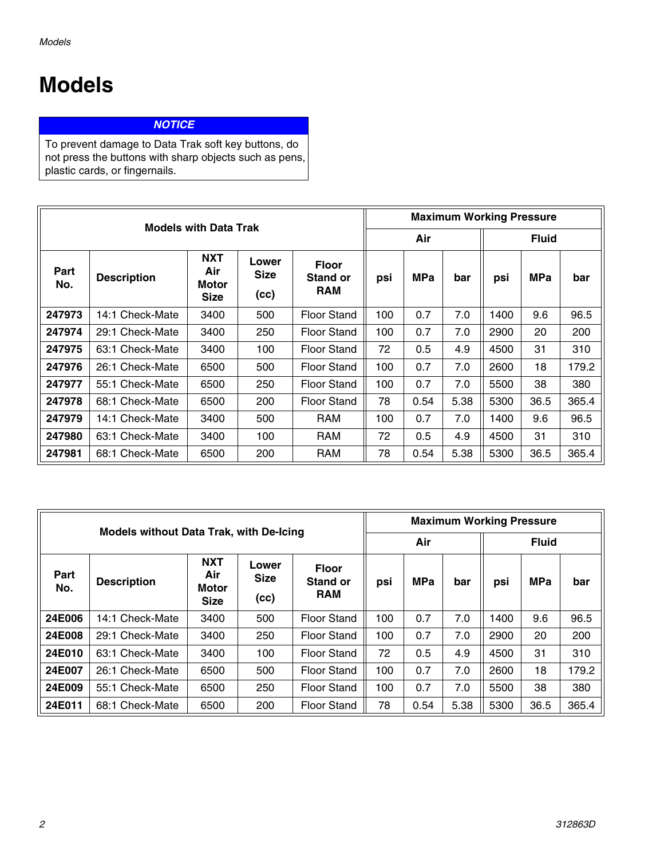# **Models**

# *NOTICE*

To prevent damage to Data Trak soft key buttons, do not press the buttons with sharp objects such as pens, plastic cards, or fingernails.

|             |                              |                                           |                              | <b>Maximum Working Pressure</b>               |     |            |      |      |              |       |
|-------------|------------------------------|-------------------------------------------|------------------------------|-----------------------------------------------|-----|------------|------|------|--------------|-------|
|             | <b>Models with Data Trak</b> |                                           |                              |                                               |     | Air        |      |      | <b>Fluid</b> |       |
| Part<br>No. | <b>Description</b>           | <b>NXT</b><br>Air<br>Motor<br><b>Size</b> | Lower<br><b>Size</b><br>(cc) | <b>Floor</b><br><b>Stand or</b><br><b>RAM</b> | psi | <b>MPa</b> | bar  | psi  | <b>MPa</b>   | bar   |
| 247973      | 14:1 Check-Mate              | 3400                                      | 500                          | <b>Floor Stand</b>                            | 100 | 0.7        | 7.0  | 1400 | 9.6          | 96.5  |
| 247974      | 29:1 Check-Mate              | 3400                                      | 250                          | <b>Floor Stand</b>                            | 100 | 0.7        | 7.0  | 2900 | 20           | 200   |
| 247975      | 63:1 Check-Mate              | 3400                                      | 100                          | <b>Floor Stand</b>                            | 72  | 0.5        | 4.9  | 4500 | 31           | 310   |
| 247976      | 26:1 Check-Mate              | 6500                                      | 500                          | <b>Floor Stand</b>                            | 100 | 0.7        | 7.0  | 2600 | 18           | 179.2 |
| 247977      | 55:1 Check-Mate              | 6500                                      | 250                          | <b>Floor Stand</b>                            | 100 | 0.7        | 7.0  | 5500 | 38           | 380   |
| 247978      | 68:1 Check-Mate              | 6500                                      | 200                          | <b>Floor Stand</b>                            | 78  | 0.54       | 5.38 | 5300 | 36.5         | 365.4 |
| 247979      | 14:1 Check-Mate              | 3400                                      | 500                          | RAM                                           | 100 | 0.7        | 7.0  | 1400 | 9.6          | 96.5  |
| 247980      | 63:1 Check-Mate              | 3400                                      | 100                          | RAM                                           | 72  | 0.5        | 4.9  | 4500 | 31           | 310   |
| 247981      | 68:1 Check-Mate              | 6500                                      | 200                          | <b>RAM</b>                                    | 78  | 0.54       | 5.38 | 5300 | 36.5         | 365.4 |

|             |                                                |                                           |                              | <b>Maximum Working Pressure</b>               |     |            |      |      |              |       |
|-------------|------------------------------------------------|-------------------------------------------|------------------------------|-----------------------------------------------|-----|------------|------|------|--------------|-------|
|             | <b>Models without Data Trak, with De-Icing</b> |                                           |                              |                                               | Air |            |      |      | <b>Fluid</b> |       |
| Part<br>No. | <b>Description</b>                             | <b>NXT</b><br>Air<br>Motor<br><b>Size</b> | Lower<br><b>Size</b><br>(cc) | <b>Floor</b><br><b>Stand or</b><br><b>RAM</b> | psi | <b>MPa</b> | bar  | psi  | <b>MPa</b>   | bar   |
| 24E006      | 14:1 Check-Mate                                | 3400                                      | 500                          | <b>Floor Stand</b>                            | 100 | 0.7        | 7.0  | 1400 | 9.6          | 96.5  |
| 24E008      | 29:1 Check-Mate                                | 3400                                      | 250                          | <b>Floor Stand</b>                            | 100 | 0.7        | 7.0  | 2900 | 20           | 200   |
| 24E010      | 63:1 Check-Mate                                | 3400                                      | 100                          | <b>Floor Stand</b>                            | 72  | 0.5        | 4.9  | 4500 | 31           | 310   |
| 24E007      | 26:1 Check-Mate                                | 6500                                      | 500                          | <b>Floor Stand</b>                            | 100 | 0.7        | 7.0  | 2600 | 18           | 179.2 |
| 24E009      | 55:1 Check-Mate                                | 6500                                      | 250                          | <b>Floor Stand</b>                            | 100 | 0.7        | 7.0  | 5500 | 38           | 380   |
| 24E011      | 68:1 Check-Mate                                | 6500                                      | 200                          | <b>Floor Stand</b>                            | 78  | 0.54       | 5.38 | 5300 | 36.5         | 365.4 |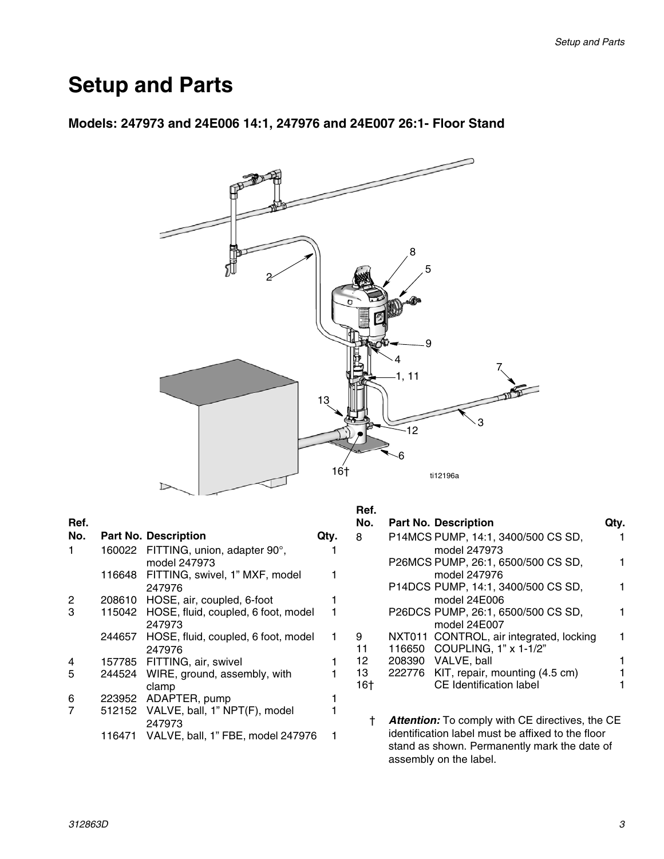# **Setup and Parts**

# **Models: 247973 and 24E006 14:1, 247976 and 24E007 26:1- Floor Stand**



#### **Ref.**

| No. |        | <b>Part No. Description</b>                | γ. |
|-----|--------|--------------------------------------------|----|
| 1   |        | 160022 FITTING, union, adapter 90°,        |    |
|     |        | model 247973                               |    |
|     |        | 116648 FITTING, swivel, 1" MXF, model      | 1  |
|     |        | 247976                                     |    |
| 2   |        | 208610 HOSE, air, coupled, 6-foot          | 1  |
| 3   |        | 115042 HOSE, fluid, coupled, 6 foot, model | 1  |
|     |        | 247973                                     |    |
|     | 244657 | HOSE, fluid, coupled, 6 foot, model        | 1  |
|     |        | 247976                                     |    |
| 4   |        | 157785 FITTING, air, swivel                |    |
| 5   |        | 244524 WIRE, ground, assembly, with        | 1  |
|     |        | clamp                                      |    |
| 6   |        | 223952 ADAPTER, pump                       |    |
| 7   |        | 512152 VALVE, ball, 1" NPT(F), model       |    |
|     |        | 247973                                     |    |
|     |        | 116471 VALVE, ball, 1" FBE, model 247976   |    |

|  | ×<br>I |
|--|--------|

| <b>Part No. Description</b>        |                                                                                                                                                                                                                                                                                            |
|------------------------------------|--------------------------------------------------------------------------------------------------------------------------------------------------------------------------------------------------------------------------------------------------------------------------------------------|
| P14MCS PUMP, 14:1, 3400/500 CS SD, |                                                                                                                                                                                                                                                                                            |
| model 247973                       |                                                                                                                                                                                                                                                                                            |
|                                    |                                                                                                                                                                                                                                                                                            |
| model 247976                       |                                                                                                                                                                                                                                                                                            |
|                                    |                                                                                                                                                                                                                                                                                            |
| model 24E006                       |                                                                                                                                                                                                                                                                                            |
|                                    |                                                                                                                                                                                                                                                                                            |
| model 24E007                       |                                                                                                                                                                                                                                                                                            |
|                                    |                                                                                                                                                                                                                                                                                            |
|                                    |                                                                                                                                                                                                                                                                                            |
|                                    |                                                                                                                                                                                                                                                                                            |
|                                    |                                                                                                                                                                                                                                                                                            |
|                                    |                                                                                                                                                                                                                                                                                            |
|                                    |                                                                                                                                                                                                                                                                                            |
|                                    | P26MCS PUMP, 26:1, 6500/500 CS SD,<br>P14DCS PUMP, 14:1, 3400/500 CS SD,<br>P26DCS PUMP, 26:1, 6500/500 CS SD,<br>NXT011 CONTROL, air integrated, locking<br>116650 COUPLING, 1" x 1-1/2"<br>208390 VALVE, ball<br>222776 KIT, repair, mounting (4.5 cm)<br><b>CE Identification label</b> |

† *Attention:* To comply with CE directives, the CE identification label must be affixed to the floor stand as shown. Permanently mark the date of assembly on the label.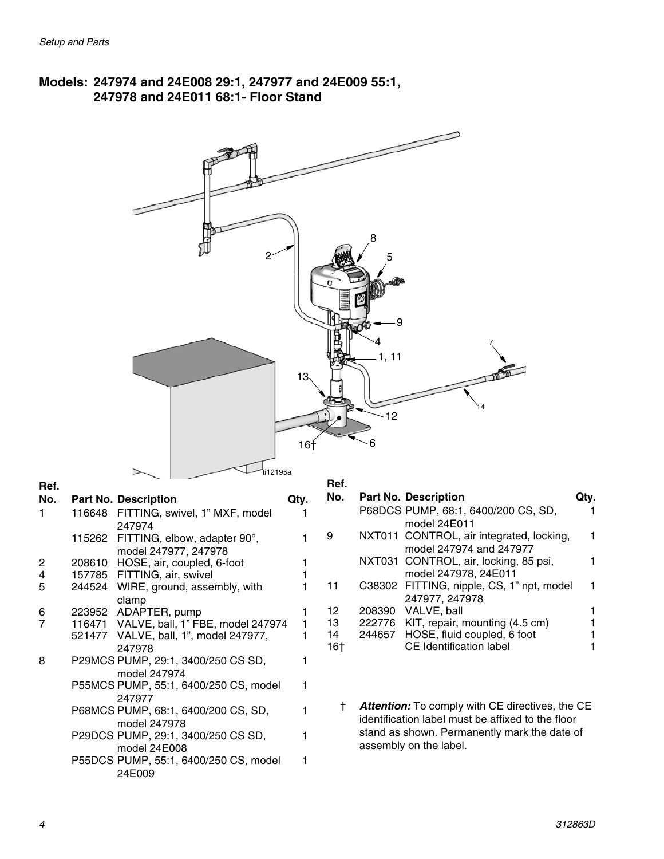# **Models: 247974 and 24E008 29:1, 247977 and 24E009 55:1, 247978 and 24E011 68:1- Floor Stand**



#### **Ref.**

| No.            |        | <b>Part No. Description</b>              | JIV. |
|----------------|--------|------------------------------------------|------|
| 1              | 116648 | FITTING, swivel, 1" MXF, model           |      |
|                |        | 247974                                   |      |
|                |        | 115262 FITTING, elbow, adapter 90°,      |      |
|                |        | model 247977, 247978                     |      |
| 2              | 208610 | HOSE, air, coupled, 6-foot               | 1    |
| $\overline{4}$ |        | 157785 FITTING, air, swivel              | 1    |
| 5              | 244524 | WIRE, ground, assembly, with             |      |
|                |        | clamp                                    |      |
| 6              |        | 223952 ADAPTER, pump                     | 1    |
| 7              |        | 116471 VALVE, ball, 1" FBE, model 247974 | 1    |
|                |        | 521477 VALVE, ball, 1", model 247977,    | 1    |
|                |        | 247978                                   |      |
| 8              |        | P29MCS PUMP, 29:1, 3400/250 CS SD,       |      |
|                |        | model 247974                             |      |
|                |        | P55MCS PUMP, 55:1, 6400/250 CS, model    |      |
|                |        | 247977                                   |      |
|                |        | P68MCS PUMP, 68:1, 6400/200 CS, SD,      |      |
|                |        | model 247978                             |      |
|                |        | P29DCS PUMP, 29:1, 3400/250 CS SD,       |      |
|                |        | model 24E008                             |      |
|                |        | P55DCS PUMP, 55:1, 6400/250 CS, model    |      |
|                |        | 24E009                                   |      |
|                |        |                                          |      |

| No.   | <b>Part No. Description</b>               |  |
|-------|-------------------------------------------|--|
|       | P68DCS PUMP, 68:1, 6400/200 CS, SD,       |  |
|       | model 24E011                              |  |
| 9     | NXT011 CONTROL, air integrated, locking,  |  |
|       | model 247974 and 247977                   |  |
|       | NXT031 CONTROL, air, locking, 85 psi,     |  |
|       | model 247978, 24E011                      |  |
| 11    | C38302 FITTING, nipple, CS, 1" npt, model |  |
|       | 247977, 247978                            |  |
| 12    | 208390 VALVE, ball                        |  |
| 13    | 222776 KIT, repair, mounting (4.5 cm)     |  |
| 14    | 244657 HOSE, fluid coupled, 6 foot        |  |
| $16+$ | <b>CE Identification label</b>            |  |

† *Attention:* To comply with CE directives, the CE identification label must be affixed to the floor stand as shown. Permanently mark the date of assembly on the label.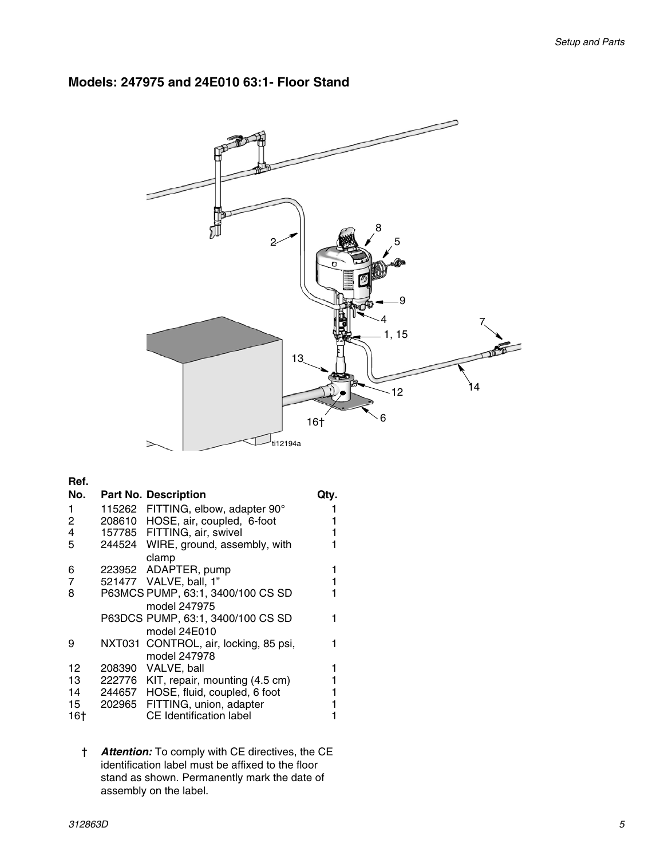### **Models: 247975 and 24E010 63:1- Floor Stand**



#### **Ref.**

| No. |        | <b>Part No. Description</b>                           |  |
|-----|--------|-------------------------------------------------------|--|
| 1   |        | 115262 FITTING, elbow, adapter 90°                    |  |
| 2   |        | 208610 HOSE, air, coupled, 6-foot                     |  |
| 4   |        | 157785 FITTING, air, swivel                           |  |
| 5   |        | 244524 WIRE, ground, assembly, with<br>clamp          |  |
| 6   |        | 223952 ADAPTER, pump                                  |  |
| 7   |        | 521477 VALVE, ball, 1"                                |  |
| 8   |        | P63MCS PUMP, 63:1, 3400/100 CS SD<br>model 247975     |  |
|     |        | P63DCS PUMP, 63:1, 3400/100 CS SD<br>model 24E010     |  |
| 9   |        | NXT031 CONTROL, air, locking, 85 psi,<br>model 247978 |  |
| 12  |        | 208390 VALVE, ball                                    |  |
| 13  |        | 222776 KIT, repair, mounting (4.5 cm)                 |  |
| 14  | 244657 | HOSE, fluid, coupled, 6 foot                          |  |
| 15  | 202965 | FITTING, union, adapter                               |  |
| 16† |        | <b>CE Identification label</b>                        |  |

† *Attention:* To comply with CE directives, the CE identification label must be affixed to the floor stand as shown. Permanently mark the date of assembly on the label.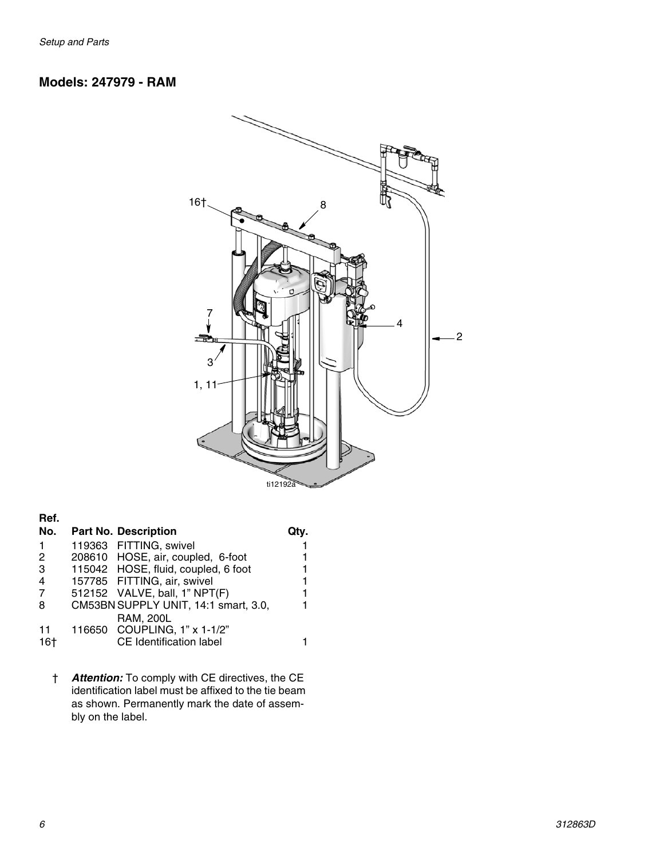### **Models: 247979 - RAM**



#### **Ref.**

| No.            | <b>Part No. Description</b>          |  |
|----------------|--------------------------------------|--|
| $\mathbf{1}$   | 119363 FITTING, swivel               |  |
| 2              | 208610 HOSE, air, coupled, 6-foot    |  |
| 3              | 115042 HOSE, fluid, coupled, 6 foot  |  |
| $\overline{4}$ | 157785 FITTING, air, swivel          |  |
| -7             | 512152 VALVE, ball, 1" NPT(F)        |  |
| 8              | CM53BN SUPPLY UNIT, 14:1 smart, 3.0, |  |
|                | <b>RAM, 200L</b>                     |  |
| 11             | 116650 COUPLING, 1" x 1-1/2"         |  |
| 16†            | <b>CE Identification label</b>       |  |

† *Attention:* To comply with CE directives, the CE identification label must be affixed to the tie beam as shown. Permanently mark the date of assembly on the label.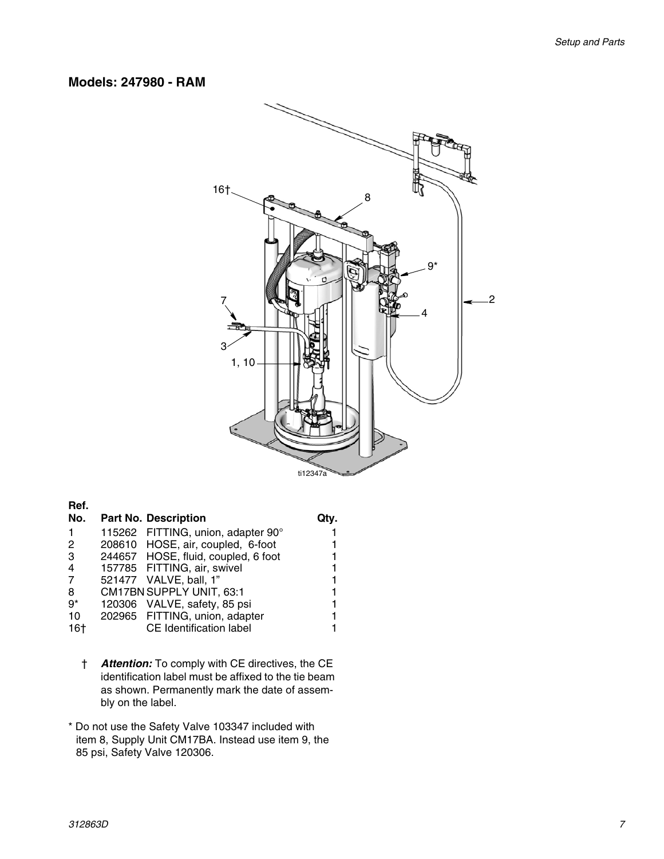### **Models: 247980 - RAM**



#### **Ref.**

| No.         | <b>Part No. Description</b>         |  |
|-------------|-------------------------------------|--|
| $\mathbf 1$ | 115262 FITTING, union, adapter 90°  |  |
| 2           | 208610 HOSE, air, coupled, 6-foot   |  |
| 3           | 244657 HOSE, fluid, coupled, 6 foot |  |
| 4           | 157785 FITTING, air, swivel         |  |
| 7           | 521477 VALVE, ball, 1"              |  |
| 8           | CM17BN SUPPLY UNIT, 63:1            |  |
| ġ*          | 120306 VALVE, safety, 85 psi        |  |
| 10          | 202965 FITTING, union, adapter      |  |
| 16†         | <b>CE Identification label</b>      |  |

- † *Attention:* To comply with CE directives, the CE identification label must be affixed to the tie beam as shown. Permanently mark the date of assembly on the label.
- \* Do not use the Safety Valve 103347 included with item 8, Supply Unit CM17BA. Instead use item 9, the 85 psi, Safety Valve 120306.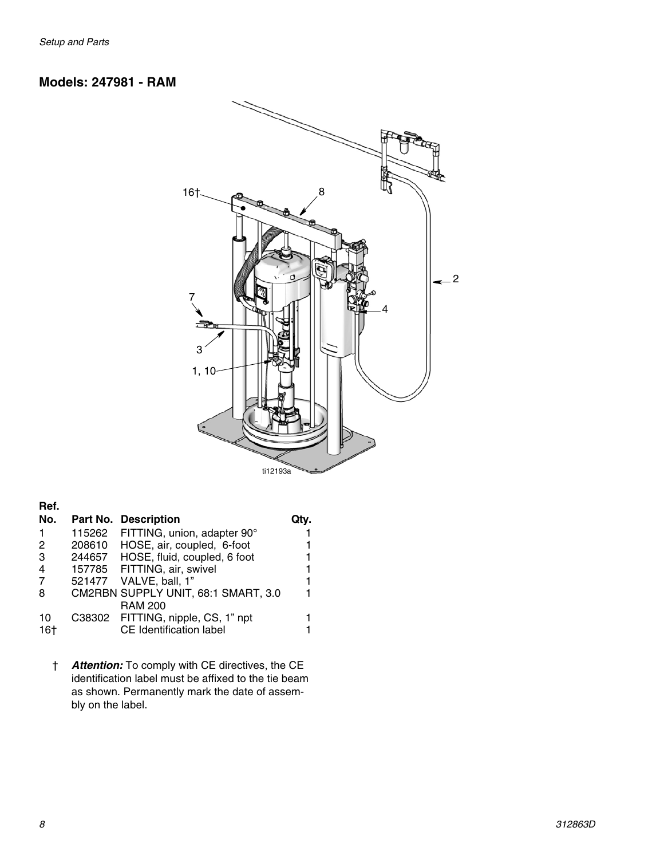### **Models: 247981 - RAM**



#### **Ref.**

| No. |        | <b>Part No. Description</b>         |  |
|-----|--------|-------------------------------------|--|
| 1   | 115262 | FITTING, union, adapter 90°         |  |
| 2   |        | 208610 HOSE, air, coupled, 6-foot   |  |
| 3   |        | 244657 HOSE, fluid, coupled, 6 foot |  |
| 4   |        | 157785 FITTING, air, swivel         |  |
| -7  |        | 521477 VALVE, ball, 1"              |  |
| 8   |        | CM2RBN SUPPLY UNIT, 68:1 SMART, 3.0 |  |
|     |        | <b>RAM 200</b>                      |  |
| 10  |        | C38302 FITTING, nipple, CS, 1" npt  |  |
| 16† |        | <b>CE Identification label</b>      |  |

† *Attention:* To comply with CE directives, the CE identification label must be affixed to the tie beam as shown. Permanently mark the date of assembly on the label.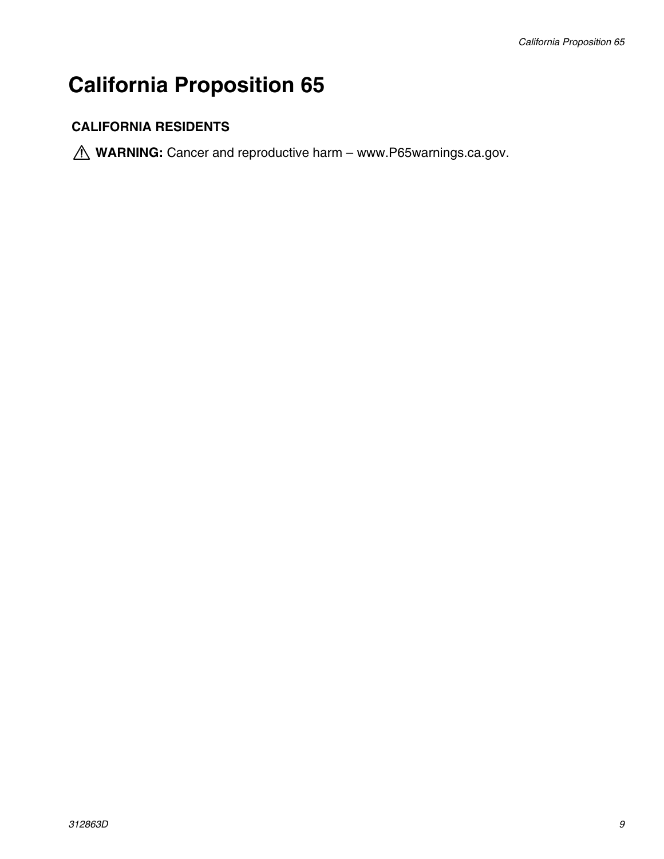# **California Proposition 65**

# **CALIFORNIA RESIDENTS**

 **WARNING:** Cancer and reproductive harm – www.P65warnings.ca.gov.